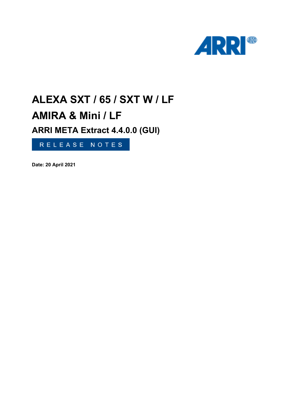

# **ALEXA SXT / 65 / SXT W / LF AMIRA & Mini / LF**

**ARRI META Extract 4.4.0.0 (GUI)**

RELEASE NOTES

**Date: 20 April 2021**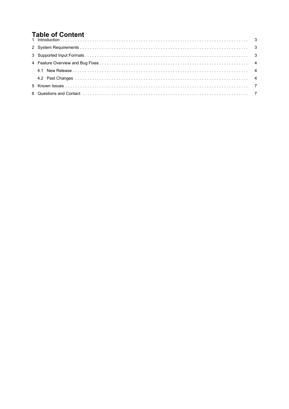# **Table of Content**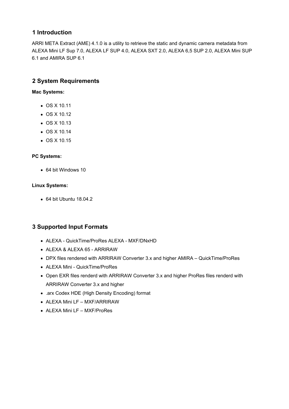### <span id="page-2-0"></span>**1 Introduction**

ARRI META Extract (AME) 4.1.0 is a utility to retrieve the static and dynamic camera metadata from ALEXA Mini LF Sup 7.0, ALEXA LF SUP 4.0, ALEXA SXT 2.0, ALEXA 6,5 SUP 2.0, ALEXA Mini SUP 6.1 and AMIRA SUP 6.1

### **2 System Requirements**

**Mac Systems:**

- OS X 10.11
- OS X 10.12
- OS X 10.13
- OS X 10.14
- $\bullet$  OS X 10.15

#### **PC Systems:**

64 bit Windows 10

#### **Linux Systems:**

64 bit Ubuntu 18.04.2

## **3 Supported Input Formats**

- ALEXA QuickTime/ProRes ALEXA MXF/DNxHD
- ALEXA & ALEXA 65 ARRIRAW
- DPX files rendered with ARRIRAW Converter 3.x and higher AMIRA QuickTime/ProRes
- ALEXA Mini QuickTime/ProRes
- Open EXR files renderd with ARRIRAW Converter 3.x and higher ProRes files renderd with ARRIRAW Converter 3.x and higher
- .arx Codex HDE (High Density Encoding) format
- ALEXA Mini LF MXF/ARRIRAW
- ALEXA Mini LF MXF/ProRes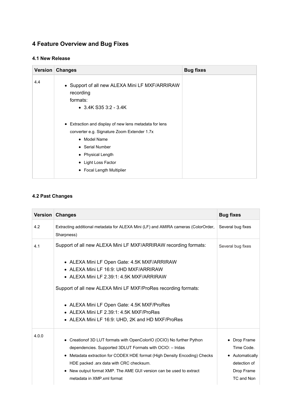# <span id="page-3-0"></span>**4 Feature Overview and Bug Fixes**

#### **4.1 New Release**

| 4.4<br>• Support of all new ALEXA Mini LF MXF/ARRIRAW<br>recording<br>formats:<br>$\bullet$ 3.4K S35 3:2 - 3.4K<br>• Extraction and display of new lens metadata for lens<br>converter e.g. Signature Zoom Extender 1.7x<br>• Model Name<br>• Serial Number<br>• Physical Length<br>• Light Loss Factor<br>• Focal Length Multiplier |  |
|--------------------------------------------------------------------------------------------------------------------------------------------------------------------------------------------------------------------------------------------------------------------------------------------------------------------------------------|--|

## **4.2 Past Changes**

|       | Version Changes                                                                                 | <b>Bug fixes</b>  |
|-------|-------------------------------------------------------------------------------------------------|-------------------|
| 4.2   | Extracting additional metadata for ALEXA Mini (LF) and AMIRA cameras (ColorOrder,<br>Sharpness) | Several bug fixes |
| 4.1   | Support of all new ALEXA Mini LF MXF/ARRIRAW recording formats:                                 | Several bug fixes |
|       | • ALEXA Mini LF Open Gate: 4.5K MXF/ARRIRAW                                                     |                   |
|       | • ALEXA Mini LF 16:9: UHD MXF/ARRIRAW                                                           |                   |
|       | • ALEXA Mini LF 2.39:1: 4.5K MXF/ARRIRAW                                                        |                   |
|       | Support of all new ALEXA Mini LF MXF/ProRes recording formats:                                  |                   |
|       | • ALEXA Mini LF Open Gate: 4.5K MXF/ProRes                                                      |                   |
|       | • ALEXA Mini LF 2.39:1: 4.5K MXF/ProRes                                                         |                   |
|       | • ALEXA Mini LF 16:9: UHD, 2K and HD MXF/ProRes                                                 |                   |
| 4.0.0 | • Creation of 3D LUT formats with OpenColorIO (OCIO) No further Python                          | • Drop Frame      |
|       | dependencies. Supported 3DLUT Formats with OCIO: - Iridas                                       | Time Code.        |
|       | • Metadata extraction for CODEX HDE format (High Density Encoding) Checks                       | • Automatically   |
|       | HDE packed .arx data with CRC checksum.                                                         | detection of      |
|       | • New output format XMP. The AME GUI version can be used to extract                             | Drop Frame        |
|       | metadata in XMP xml format                                                                      | TC and Non        |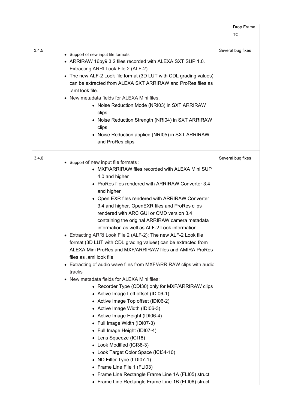|       |                                                                                                                                                                                                                                                                                                                                                                                                                                                                                                                                                                                                                                                                                                                                                                                                                                                                                                                                                                                                                                                                                                                                                                                                                                                                                                                                                       | Drop Frame<br>TC. |
|-------|-------------------------------------------------------------------------------------------------------------------------------------------------------------------------------------------------------------------------------------------------------------------------------------------------------------------------------------------------------------------------------------------------------------------------------------------------------------------------------------------------------------------------------------------------------------------------------------------------------------------------------------------------------------------------------------------------------------------------------------------------------------------------------------------------------------------------------------------------------------------------------------------------------------------------------------------------------------------------------------------------------------------------------------------------------------------------------------------------------------------------------------------------------------------------------------------------------------------------------------------------------------------------------------------------------------------------------------------------------|-------------------|
| 3.4.5 | • Support of new input file formats<br>• ARRIRAW 16by9 3.2 files recorded with ALEXA SXT SUP 1.0.<br>Extracting ARRI Look File 2 (ALF-2)<br>• The new ALF-2 Look file format (3D LUT with CDL grading values)<br>can be extracted from ALEXA SXT ARRIRAW and ProRes files as<br>.aml look file.<br>• New metadata fields for ALEXA Mini files.<br>• Noise Reduction Mode (NRI03) in SXT ARRIRAW<br>clips<br>• Noise Reduction Strength (NRI04) in SXT ARRIRAW<br>clips<br>• Noise Reduction applied (NRI05) in SXT ARRIRAW<br>and ProRes clips                                                                                                                                                                                                                                                                                                                                                                                                                                                                                                                                                                                                                                                                                                                                                                                                        | Several bug fixes |
| 3.4.0 | • Support of new input file formats :<br>• MXF/ARRIRAW files recorded with ALEXA Mini SUP<br>4.0 and higher<br>• ProRes files rendered with ARRIRAW Converter 3.4<br>and higher<br>• Open EXR files rendered with ARRIRAW Converter<br>3.4 and higher. OpenEXR files and ProRes clips<br>rendered with ARC GUI or CMD version 3.4<br>containing the original ARRIRAW camera metadata<br>information as well as ALF-2 Look information.<br>• Extracting ARRI Look File 2 (ALF-2): The new ALF-2 Look file<br>format (3D LUT with CDL grading values) can be extracted from<br>ALEXA Mini ProRes and MXF/ARRIRAW files and AMIRA ProRes<br>files as .aml look file.<br>• Extracting of audio wave files from MXF/ARRIRAW clips with audio<br>tracks<br>• New metadata fields for ALEXA Mini files:<br>• Recorder Type (CDI30) only for MXF/ARRIRAW clips<br>• Active Image Left offset (IDI06-1)<br>• Active Image Top offset (IDI06-2)<br>• Active Image Width (IDI06-3)<br>• Active Image Height (IDI06-4)<br>• Full Image Width (IDI07-3)<br>• Full Image Height (IDI07-4)<br>• Lens Squeeze (ICI18)<br>• Look Modified (ICI38-3)<br>• Look Target Color Space (ICI34-10)<br>• ND Filter Type (LDI07-1)<br>• Frame Line File 1 (FLI03)<br>• Frame Line Rectangle Frame Line 1A (FLI05) struct<br>• Frame Line Rectangle Frame Line 1B (FLI06) struct | Several bug fixes |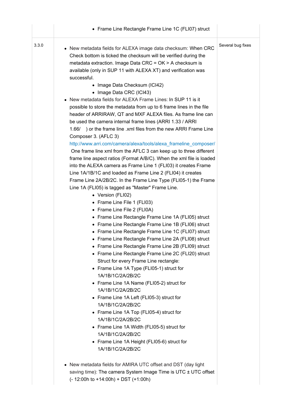|       | • Frame Line Rectangle Frame Line 1C (FLI07) struct                                                                                                                                                                                                                                                                                                                                                                                                                                                                                                |                   |
|-------|----------------------------------------------------------------------------------------------------------------------------------------------------------------------------------------------------------------------------------------------------------------------------------------------------------------------------------------------------------------------------------------------------------------------------------------------------------------------------------------------------------------------------------------------------|-------------------|
| 3.3.0 | • New metadata fields for ALEXA image data checksum: When CRC<br>Check bottom is ticked the checksum will be verified during the<br>metadata extraction. Image Data CRC = OK > A checksum is<br>available (only in SUP 11 with ALEXA XT) and verification was                                                                                                                                                                                                                                                                                      | Several bug fixes |
|       | successful.<br>• Image Data Checksum (ICI42)<br>• Image Data CRC (ICI43)<br>• New metadata fields for ALEXA Frame Lines: In SUP 11 is it<br>possible to store the metadata from up to 6 frame lines in the file<br>header of ARRIRAW, QT and MXF ALEXA files. As frame line can<br>be used the camera internal frame lines (ARRI 1.33 / ARRI<br>) or the frame line .xml files from the new ARRI Frame Line<br>1.66/                                                                                                                               |                   |
|       | Composer 3. (AFLC 3)<br>http://www.arri.com/camera/alexa/tools/alexa_frameline_composer/<br>One frame line xml from the AFLC 3 can keep up to three different<br>frame line aspect ratios (Format A/B/C). When the xml file is loaded<br>into the ALEXA camera as Frame Line 1 (FLI03) it creates Frame<br>Line 1A/1B/1C and loaded as Frame Line 2 (FLI04) it creates<br>Frame Line 2A/2B/2C. In the Frame Line Type (FLI05-1) the Frame<br>Line 1A (FLI05) is tagged as "Master" Frame Line.<br>• Version (FLI02)<br>• Frame Line File 1 (FLI03) |                   |
|       | • Frame Line File 2 (FLI0A)<br>• Frame Line Rectangle Frame Line 1A (FLI05) struct<br>• Frame Line Rectangle Frame Line 1B (FLI06) struct<br>• Frame Line Rectangle Frame Line 1C (FLI07) struct<br>• Frame Line Rectangle Frame Line 2A (FLI08) struct<br>• Frame Line Rectangle Frame Line 2B (FLI09) struct<br>• Frame Line Rectangle Frame Line 2C (FLI20) struct<br>Struct for every Frame Line rectangle:<br>• Frame Line 1A Type (FLI05-1) struct for<br>1A/1B/1C/2A/2B/2C                                                                  |                   |
|       | • Frame Line 1A Name (FLI05-2) struct for<br>1A/1B/1C/2A/2B/2C<br>• Frame Line 1A Left (FLI05-3) struct for<br>1A/1B/1C/2A/2B/2C<br>• Frame Line 1A Top (FLI05-4) struct for<br>1A/1B/1C/2A/2B/2C<br>• Frame Line 1A Width (FLI05-5) struct for<br>1A/1B/1C/2A/2B/2C<br>• Frame Line 1A Height (FLI05-6) struct for<br>1A/1B/1C/2A/2B/2C                                                                                                                                                                                                           |                   |
|       | • New metadata fields for AMIRA UTC offset and DST (day light<br>saving time): The camera System Image Time is UTC ± UTC offset<br>$(-12:00h to +14:00h) + DST (+1:00h)$                                                                                                                                                                                                                                                                                                                                                                           |                   |